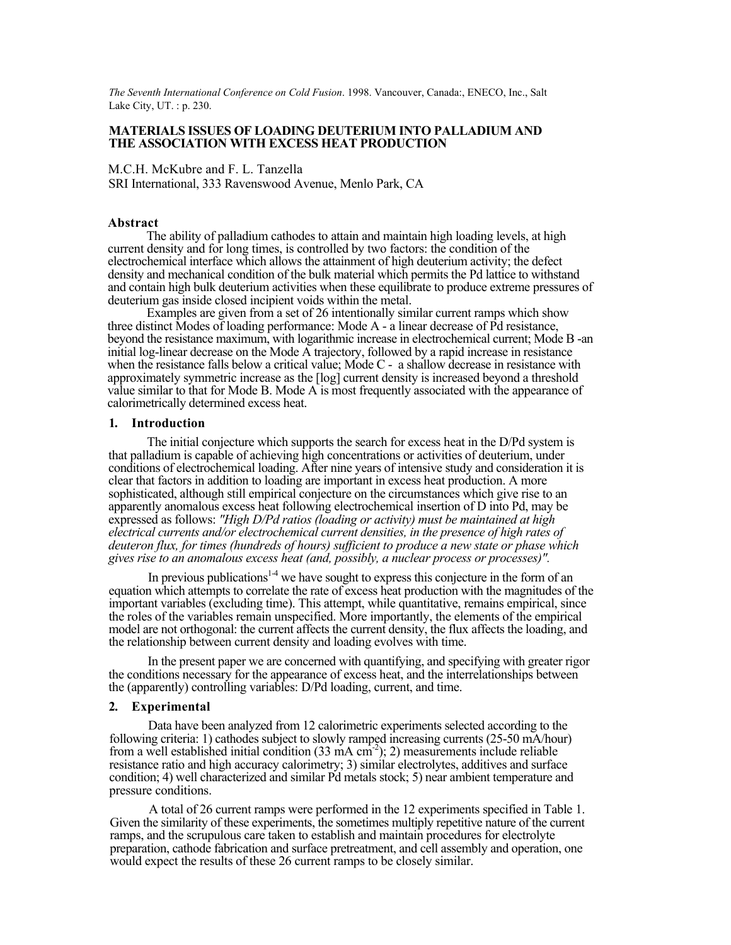*The Seventh International Conference on Cold Fusion*. 1998. Vancouver, Canada:, ENECO, Inc., Salt Lake City, UT. : p. 230.

#### **MATERIALS ISSUES OF LOADING DEUTERIUM INTO PALLADIUM AND THE ASSOCIATION WITH EXCESS HEAT PRODUCTION**

M.C.H. McKubre and F. L. Tanzella SRI International, 333 Ravenswood Avenue, Menlo Park, CA

#### **Abstract**

The ability of palladium cathodes to attain and maintain high loading levels, at high current density and for long times, is controlled by two factors: the condition of the electrochemical interface which allows the attainment of high deuterium activity; the defect density and mechanical condition of the bulk material which permits the Pd lattice to withstand and contain high bulk deuterium activities when these equilibrate to produce extreme pressures of deuterium gas inside closed incipient voids within the metal.

Examples are given from a set of 26 intentionally similar current ramps which show three distinct Modes of loading performance: Mode A - a linear decrease of Pd resistance, beyond the resistance maximum, with logarithmic increase in electrochemical current; Mode B -an initial log-linear decrease on the Mode A trajectory, followed by a rapid increase in resistance when the resistance falls below a critical value; Mode C - a shallow decrease in resistance with approximately symmetric increase as the [log] current density is increased beyond a threshold value similar to that for Mode B. Mode A is most frequently associated with the appearance of calorimetrically determined excess heat.

#### **1. Introduction**

The initial conjecture which supports the search for excess heat in the D/Pd system is that palladium is capable of achieving high concentrations or activities of deuterium, under conditions of electrochemical loading. After nine years of intensive study and consideration it is clear that factors in addition to loading are important in excess heat production. A more sophisticated, although still empirical conjecture on the circumstances which give rise to an apparently anomalous excess heat following electrochemical insertion of D into Pd, may be expressed as follows: *"High D/Pd ratios (loading or activity) must be maintained at high electrical currents and/or electrochemical current densities, in the presence of high rates of deuteron flux, for times (hundreds of hours) sufficient to produce a new state or phase which gives rise to an anomalous excess heat (and, possibly, a nuclear process or processes)".*

In previous publications<sup>14</sup> we have sought to express this conjecture in the form of an equation which attempts to correlate the rate of excess heat production with the magnitudes of the important variables (excluding time). This attempt, while quantitative, remains empirical, since the roles of the variables remain unspecified. More importantly, the elements of the empirical model are not orthogonal: the current affects the current density, the flux affects the loading, and the relationship between current density and loading evolves with time.

In the present paper we are concerned with quantifying, and specifying with greater rigor the conditions necessary for the appearance of excess heat, and the interrelationships between the (apparently) controlling variables: D/Pd loading, current, and time.

## **2. Experimental**

Data have been analyzed from 12 calorimetric experiments selected according to the following criteria: 1) cathodes subject to slowly ramped increasing currents (25-50 mA/hour) from a well established initial condition  $(33 \text{ mA cm}^2)$ ; 2) measurements include reliable resistance ratio and high accuracy calorimetry; 3) similar electrolytes, additives and surface condition; 4) well characterized and similar Pd metals stock; 5) near ambient temperature and pressure conditions.

A total of 26 current ramps were performed in the 12 experiments specified in Table 1. Given the similarity of these experiments, the sometimes multiply repetitive nature of the current ramps, and the scrupulous care taken to establish and maintain procedures for electrolyte preparation, cathode fabrication and surface pretreatment, and cell assembly and operation, one would expect the results of these 26 current ramps to be closely similar.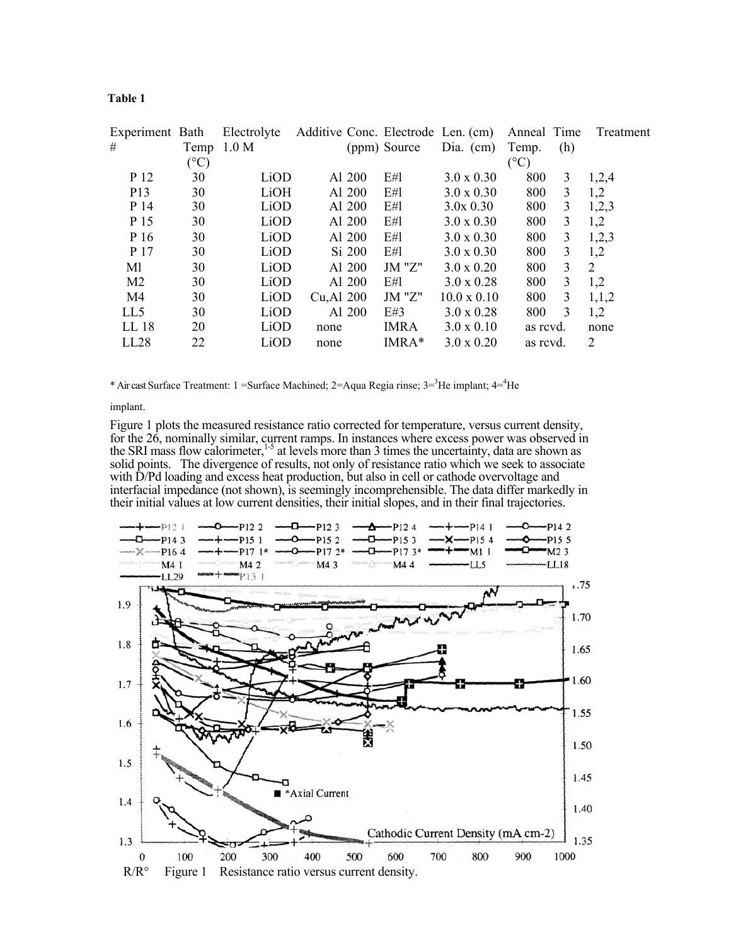| nı<br>Ш<br>٠ |  |
|--------------|--|
|--------------|--|

| Experiment Bath<br># | Temp | Electrolyte<br>1.0 M |            |                    | (ppm) Source | Additive Conc. Electrode Len. (cm)<br>Dia. $(cm)$ | Anneal Time<br>Temp. | (h)          | Treatment      |
|----------------------|------|----------------------|------------|--------------------|--------------|---------------------------------------------------|----------------------|--------------|----------------|
|                      | (°C) |                      |            |                    |              |                                                   | $(^\circ C)$         |              |                |
| P 12                 | 30   | LiOD                 |            | A1 200             | E#1          | $3.0 \times 0.30$                                 | 800                  | 3            | 1,2,4          |
| P <sub>13</sub>      | 30   | LiOH                 |            | Al 200             | E#1          | $3.0 \times 0.30$                                 | 800                  | 3            | 1,2            |
| P 14                 | 30   | LiOD                 |            | A <sub>1</sub> 200 | E#1          | $3.0x\,0.30$                                      | 800                  | 3            | 1,2,3          |
| P 15                 | 30   | LiOD                 |            | Al 200             | E#1          | $3.0 \times 0.30$                                 | 800                  | 3            | 1,2            |
| P 16                 | 30   | LiOD                 |            | A <sub>1</sub> 200 | E#1          | $3.0 \times 0.30$                                 | 800                  | 3            | 1,2,3          |
| P 17                 | 30   | LiOD                 |            | Si 200             | E#1          | $3.0 \times 0.30$                                 | 800                  | 3            | 1,2            |
| Ml                   | 30   | LiOD                 |            | Al 200             | $JM$ "Z"     | $3.0 \times 0.20$                                 | 800                  | $\mathbf{3}$ | 2              |
| M <sub>2</sub>       | 30   | LiOD                 |            | Al 200             | E#l          | $3.0 \times 0.28$                                 | 800                  | 3            | 1,2            |
| M4                   | 30   | LiOD                 | Cu, Al 200 |                    | $JM$ "Z"     | $10.0 \times 0.10$                                | 800                  | 3            | 1,1,2          |
| LL5                  | 30   | LiOD                 |            | Al 200             | E#3          | $3.0 \times 0.28$                                 | 800                  | 3            | 1,2            |
| LL 18                | 20   | LiOD                 | none       |                    | <b>IMRA</b>  | $3.0 \times 0.10$                                 | as revd.             |              | none           |
| LL28                 | 22   | LiOD                 | none       |                    | IMRA*        | $3.0 \times 0.20$                                 | as revd.             |              | $\overline{2}$ |

\* Air cast Surface Treatment: 1 = Surface Machined;  $2=$  Aqua Regia rinse;  $3=$ <sup>3</sup>He implant;  $4=$ <sup>4</sup>He

implant.

Figure 1 plots the measured resistance ratio corrected for temperature, versus current density, for the 26, nominally similar, current ramps. In instances where excess power was observed in the SRI mass flow calorimeter, $1.5$  at levels more than 3 times the uncertainty, data are shown as solid points. The divergence of results, not only of resistance ratio which we seek to associate with D/Pd loading and excess heat production, but also in cell or cathode overvoltage and interfacial impedance (not shown), is seemingly incomprehensible. The data differ markedly in their initial values at low current densities, their initial slopes, and in their final trajectories.

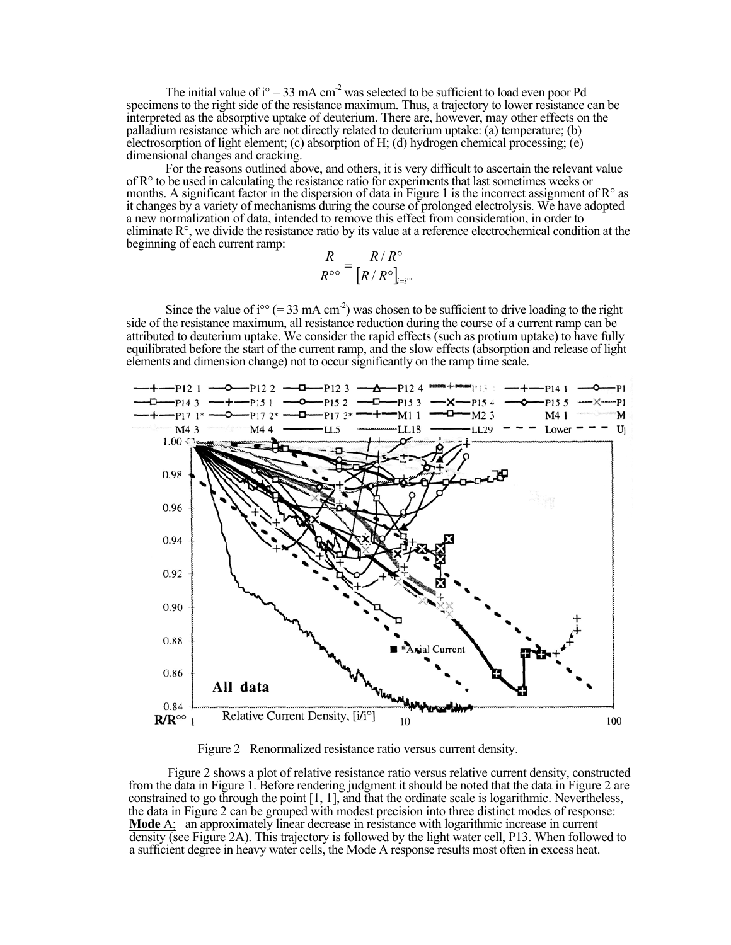The initial value of  $i^{\circ} = 33$  mA cm<sup>-2</sup> was selected to be sufficient to load even poor Pd specimens to the right side of the resistance maximum. Thus, a trajectory to lower resistance can be interpreted as the absorptive uptake of deuterium. There are, however, may other effects on the palladium resistance which are not directly related to deuterium uptake: (a) temperature; (b) electrosorption of light element; (c) absorption of H; (d) hydrogen chemical processing; (e) dimensional changes and cracking.

For the reasons outlined above, and others, it is very difficult to ascertain the relevant value of  $R<sup>o</sup>$  to be used in calculating the resistance ratio for experiments that last sometimes weeks or months. A significant factor in the dispersion of data in Figure 1 is the incorrect assignment of  $\mathbb{R}^{\circ}$  as it changes by a variety of mechanisms during the course of prolonged electrolysis. We have adopted a new normalization of data, intended to remove this effect from consideration, in order to eliminate  $R^{\circ}$ , we divide the resistance ratio by its value at a reference electrochemical condition at the beginning of each current ramp:

$$
\frac{R}{R^{\circ \circ}} = \frac{R/R^{\circ}}{[R/R^{\circ}]_{_{i=i^{\circ \circ}}}}
$$

Since the value of  $i^{\infty}$  (= 33 mA cm<sup>-2</sup>) was chosen to be sufficient to drive loading to the right side of the resistance maximum, all resistance reduction during the course of a current ramp can be attributed to deuterium uptake. We consider the rapid effects (such as protium uptake) to have fully equilibrated before the start of the current ramp, and the slow effects (absorption and release of light elements and dimension change) not to occur significantly on the ramp time scale.



Figure 2 Renormalized resistance ratio versus current density.

Figure 2 shows a plot of relative resistance ratio versus relative current density, constructed from the data in Figure 1. Before rendering judgment it should be noted that the data in Figure 2 are constrained to go through the point [1, 1], and that the ordinate scale is logarithmic. Nevertheless, the data in Figure 2 can be grouped with modest precision into three distinct modes of response: **Mode** A; an approximately linear decrease in resistance with logarithmic increase in current density (see Figure 2A). This trajectory is followed by the light water cell, P13. When followed to a sufficient degree in heavy water cells, the Mode A response results most often in excess heat.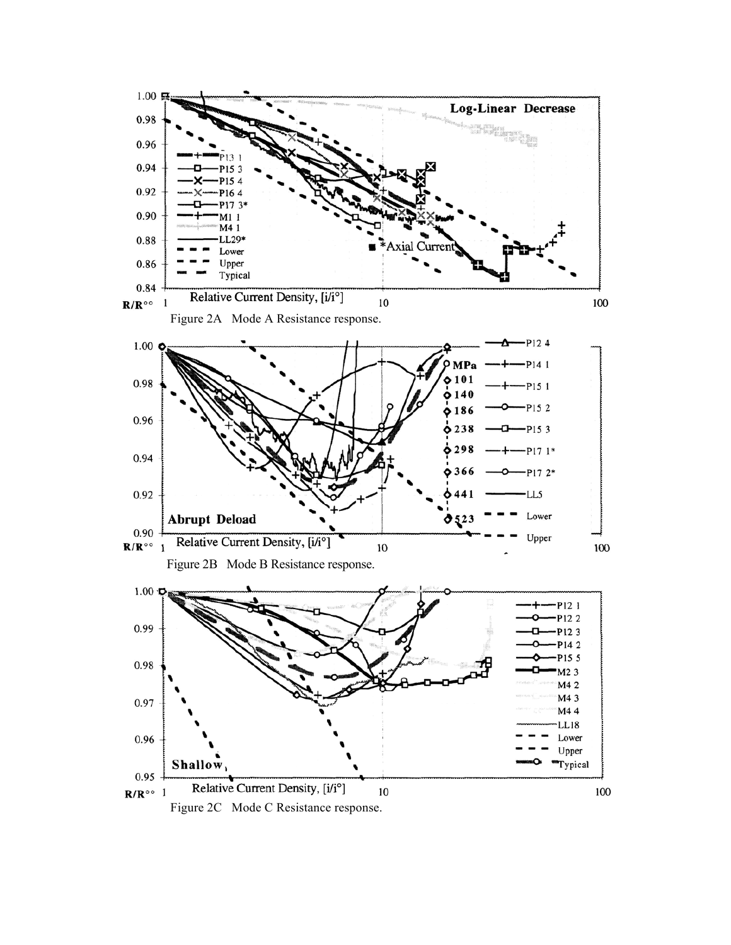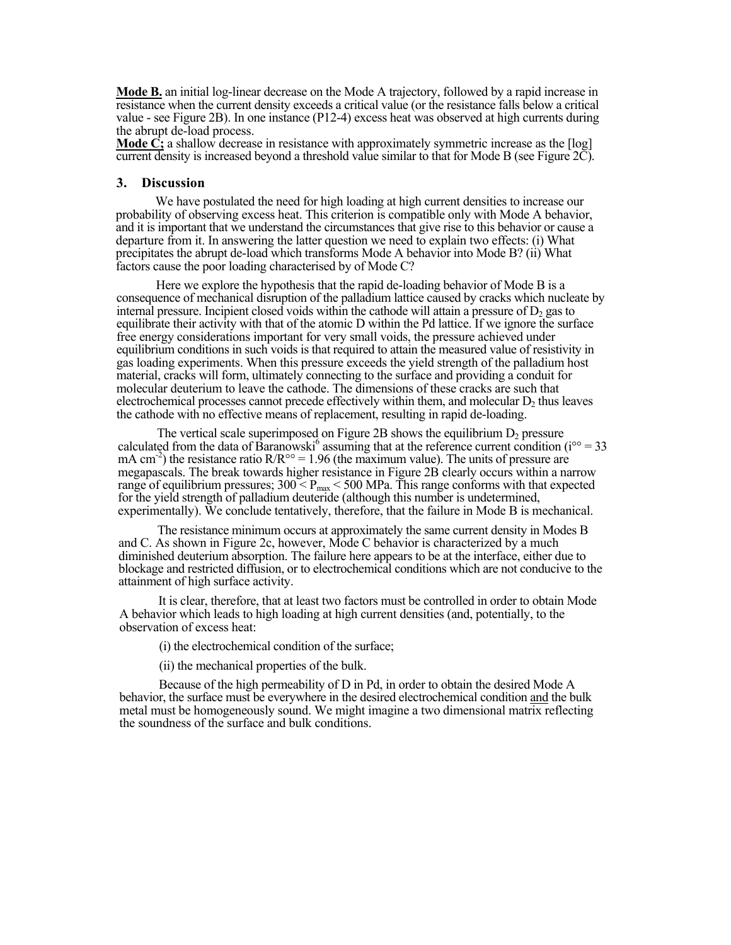**Mode B.** an initial log-linear decrease on the Mode A trajectory, followed by a rapid increase in resistance when the current density exceeds a critical value (or the resistance falls below a critical value - see Figure 2B). In one instance (P12-4) excess heat was observed at high currents during the abrupt de-load process.

**Mode C;** a shallow decrease in resistance with approximately symmetric increase as the [log] current density is increased beyond a threshold value similar to that for Mode B (see Figure 2C).

### **3. Discussion**

We have postulated the need for high loading at high current densities to increase our probability of observing excess heat. This criterion is compatible only with Mode A behavior, and it is important that we understand the circumstances that give rise to this behavior or cause a departure from it. In answering the latter question we need to explain two effects: (i) What precipitates the abrupt de-load which transforms Mode A behavior into Mode B? (ii) What factors cause the poor loading characterised by of Mode C?

Here we explore the hypothesis that the rapid de-loading behavior of Mode B is a consequence of mechanical disruption of the palladium lattice caused by cracks which nucleate by internal pressure. Incipient closed voids within the cathode will attain a pressure of  $D<sub>2</sub>$  gas to equilibrate their activity with that of the atomic D within the Pd lattice. If we ignore the surface free energy considerations important for very small voids, the pressure achieved under equilibrium conditions in such voids is that required to attain the measured value of resistivity in gas loading experiments. When this pressure exceeds the yield strength of the palladium host material, cracks will form, ultimately connecting to the surface and providing a conduit for molecular deuterium to leave the cathode. The dimensions of these cracks are such that electrochemical processes cannot precede effectively within them, and molecular  $D<sub>2</sub>$  thus leaves the cathode with no effective means of replacement, resulting in rapid de-loading.

The vertical scale superimposed on Figure 2B shows the equilibrium  $D_2$  pressure calculated from the data of Baranowski<sup>6</sup> assuming that at the reference current condition ( $i^{\circ\circ}$  = 33 mA cm<sup>-2</sup>) the resistance ratio R/R<sup>oo</sup> = 1.96 (the maximum value). The units of pressure are megapascals. The break towards higher resistance in Figure 2B clearly occurs within a narrow range of equilibrium pressures;  $300 < P_{max} < 500$  MPa. This range conforms with that expected for the yield strength of palladium deuteride (although this number is undetermined, experimentally). We conclude tentatively, therefore, that the failure in Mode B is mechanical.

The resistance minimum occurs at approximately the same current density in Modes B and C. As shown in Figure 2c, however, Mode C behavior is characterized by a much diminished deuterium absorption. The failure here appears to be at the interface, either due to blockage and restricted diffusion, or to electrochemical conditions which are not conducive to the attainment of high surface activity.

It is clear, therefore, that at least two factors must be controlled in order to obtain Mode A behavior which leads to high loading at high current densities (and, potentially, to the observation of excess heat:

(i) the electrochemical condition of the surface;

(ii) the mechanical properties of the bulk.

Because of the high permeability of D in Pd, in order to obtain the desired Mode A behavior, the surface must be everywhere in the desired electrochemical condition and the bulk metal must be homogeneously sound. We might imagine a two dimensional matrix reflecting the soundness of the surface and bulk conditions.